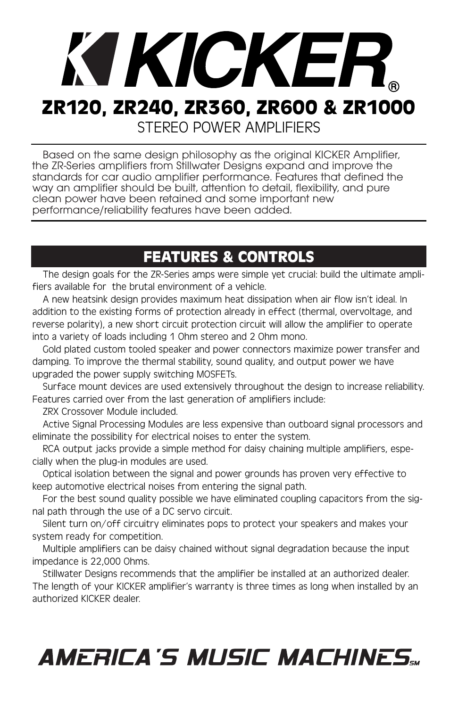# KI KICKER. **ZR120, ZR240, ZR360, ZR600 & ZR1000** STEREO POWER AMPLIFIERS

Based on the same design philosophy as the original KICKER Amplifier, the ZR-Series amplifiers from Stillwater Designs expand and improve the standards for car audio amplifier performance. Features that defined the way an amplifier should be built, attention to detail, flexibility, and pure clean power have been retained and some important new performance/reliability features have been added.

# **FEATURES & CONTROLS**

The design goals for the ZR-Series amps were simple yet crucial: build the ultimate amplifiers available for the brutal environment of a vehicle.

A new heatsink design provides maximum heat dissipation when air flow isn't ideal. In addition to the existing forms of protection already in effect (thermal, overvoltage, and reverse polarity), a new short circuit protection circuit will allow the amplifier to operate into a variety of loads including 1 Ohm stereo and 2 Ohm mono.

Gold plated custom tooled speaker and power connectors maximize power transfer and damping. To improve the thermal stability, sound quality, and output power we have upgraded the power supply switching MOSFETs.

Surface mount devices are used extensively throughout the design to increase reliability. Features carried over from the last generation of amplifiers include:

ZRX Crossover Module included.

Active Signal Processing Modules are less expensive than outboard signal processors and eliminate the possibility for electrical noises to enter the system.

RCA output jacks provide a simple method for daisy chaining multiple amplifiers, especially when the plug-in modules are used.

Optical isolation between the signal and power grounds has proven very effective to keep automotive electrical noises from entering the signal path.

For the best sound quality possible we have eliminated coupling capacitors from the signal path through the use of a DC servo circuit.

Silent turn on/off circuitry eliminates pops to protect your speakers and makes your system ready for competition.

Multiple amplifiers can be daisy chained without signal degradation because the input impedance is 22,000 Ohms.

Stillwater Designs recommends that the amplifier be installed at an authorized dealer. The length of your KICKER amplifier's warranty is three times as long when installed by an authorized KICKER dealer.

# **AMERICA'S MUSIC MACHINES...**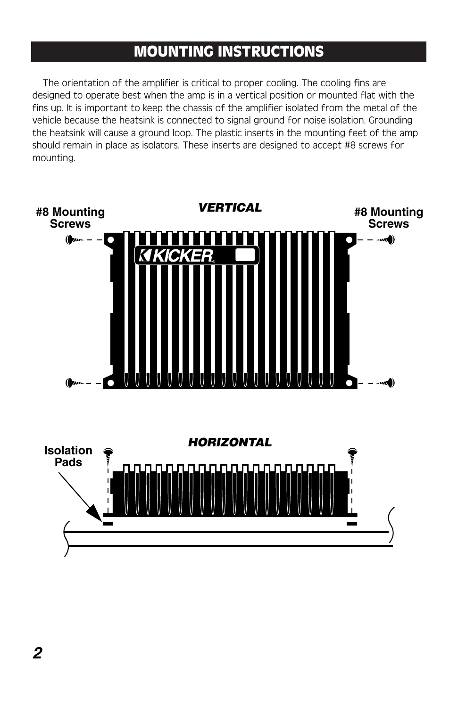# **MOUNTING INSTRUCTIONS**

The orientation of the amplifier is critical to proper cooling. The cooling fins are designed to operate best when the amp is in a vertical position or mounted flat with the fins up. It is important to keep the chassis of the amplifier isolated from the metal of the vehicle because the heatsink is connected to signal ground for noise isolation. Grounding the heatsink will cause a ground loop. The plastic inserts in the mounting feet of the amp should remain in place as isolators. These inserts are designed to accept #8 screws for mounting.

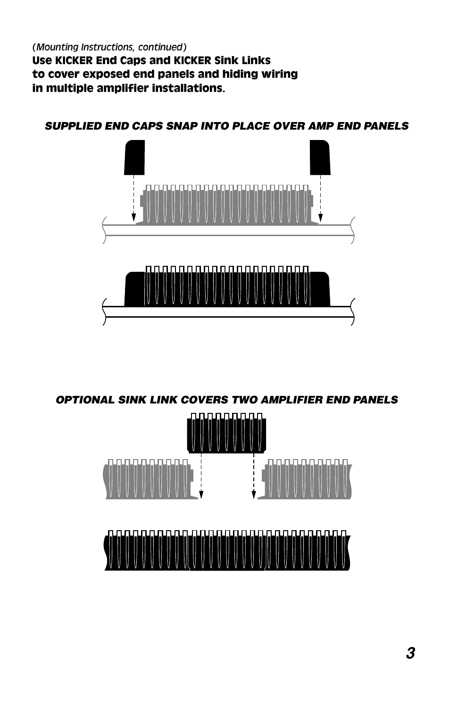*(Mounting Instructions, continued)* **Use KICKER End Caps and KICKER Sink Links to cover exposed end panels and hiding wiring in multiple amplifier installations.** 

**SUPPLIED END CAPS SNAP INTO PLACE OVER AMP END PANELS**



**OPTIONAL SINK LINK COVERS TWO AMPLIFIER END PANELS**

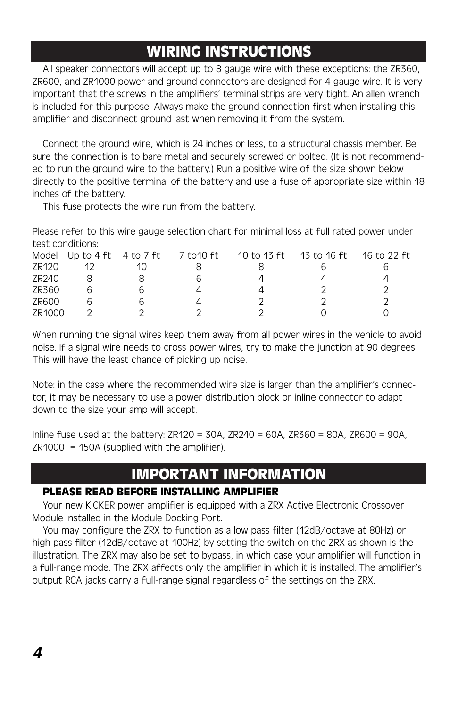# **WIRING INSTRUCTIONS**

All speaker connectors will accept up to 8 gauge wire with these exceptions: the ZR360, ZR600, and ZR1000 power and ground connectors are designed for 4 gauge wire. It is very important that the screws in the amplifiers' terminal strips are very tight. An allen wrench is included for this purpose. Always make the ground connection first when installing this amplifier and disconnect ground last when removing it from the system.

Connect the ground wire, which is 24 inches or less, to a structural chassis member. Be sure the connection is to bare metal and securely screwed or bolted. (It is not recommended to run the ground wire to the battery.) Run a positive wire of the size shown below directly to the positive terminal of the battery and use a fuse of appropriate size within 18 inches of the battery.

This fuse protects the wire run from the battery.

Please refer to this wire gauge selection chart for minimal loss at full rated power under test conditions:

|        | Model Up to 4 ft 4 to 7 ft | 7 to10 ft | 10 to 13 ft | 13 to 16 ft | 16 to 22 ft |
|--------|----------------------------|-----------|-------------|-------------|-------------|
| ZR120  |                            |           |             |             |             |
| ZR240  |                            |           |             |             |             |
| ZR360  |                            |           |             |             |             |
| ZR600  |                            |           |             |             |             |
| 7R1000 |                            |           |             |             |             |

When running the signal wires keep them away from all power wires in the vehicle to avoid noise. If a signal wire needs to cross power wires, try to make the junction at 90 degrees. This will have the least chance of picking up noise.

Note: in the case where the recommended wire size is larger than the amplifier's connector, it may be necessary to use a power distribution block or inline connector to adapt down to the size your amp will accept.

Inline fuse used at the battery: ZR120 = 30A, ZR240 = 60A, ZR360 = 80A, ZR600 = 90A,  $ZR1000 = 150A$  (supplied with the amplifier).

# **IMPORTANT INFORMATION**

#### **PLEASE READ BEFORE INSTALLING AMPLIFIER**

Your new KICKER power amplifier is equipped with a ZRX Active Electronic Crossover Module installed in the Module Docking Port.

You may configure the ZRX to function as a low pass filter (12dB/octave at 80Hz) or high pass filter (12dB/octave at 100Hz) by setting the switch on the ZRX as shown is the illustration. The ZRX may also be set to bypass, in which case your amplifier will function in a full-range mode. The ZRX affects only the amplifier in which it is installed. The amplifier's output RCA jacks carry a full-range signal regardless of the settings on the ZRX.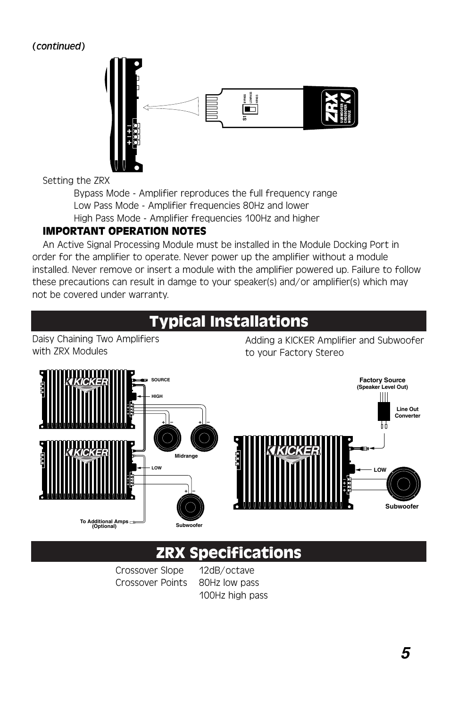#### *(continued)*



Setting the ZRX

Bypass Mode - Amplifier reproduces the full frequency range Low Pass Mode - Amplifier frequencies 80Hz and lower High Pass Mode - Amplifier frequencies 100Hz and higher

#### **IMPORTANT OPERATION NOTES**

An Active Signal Processing Module must be installed in the Module Docking Port in order for the amplifier to operate. Never power up the amplifier without a module installed. Never remove or insert a module with the amplifier powered up. Failure to follow these precautions can result in damge to your speaker(s) and/or amplifier(s) which may not be covered under warranty.

# **Typical Installations**

Daisy Chaining Two Amplifiers with ZRX Modules

Adding a KICKER Amplifier and Subwoofer



# **ZRX Specifications**

Crossover Slope 12dB/octave Crossover Points 80Hz low pass

100Hz high pass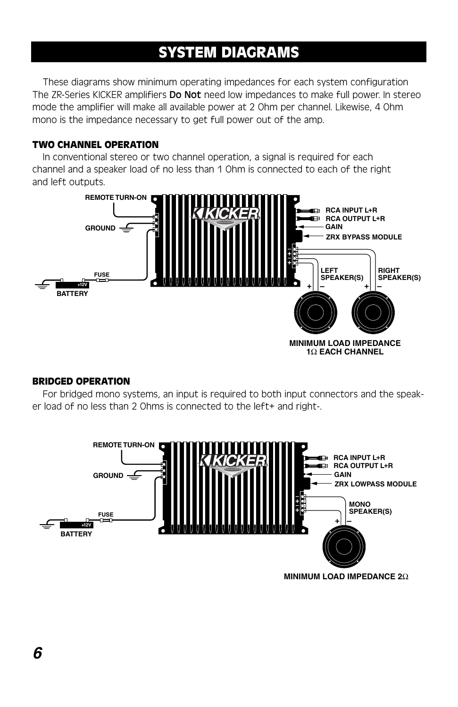# **SYSTEM DIAGRAMS**

These diagrams show minimum operating impedances for each system configuration The ZR-Series KICKER amplifiers **Do Not** need low impedances to make full power. In stereo mode the amplifier will make all available power at 2 Ohm per channel. Likewise, 4 Ohm mono is the impedance necessary to get full power out of the amp.

#### **TWO CHANNEL OPERATION**

In conventional stereo or two channel operation, a signal is required for each channel and a speaker load of no less than 1 Ohm is connected to each of the right and left outputs.



#### **BRIDGED OPERATION**

For bridged mono systems, an input is required to both input connectors and the speaker load of no less than 2 Ohms is connected to the left+ and right-.



**MINIMUM LOAD IMPEDANCE 2**Ω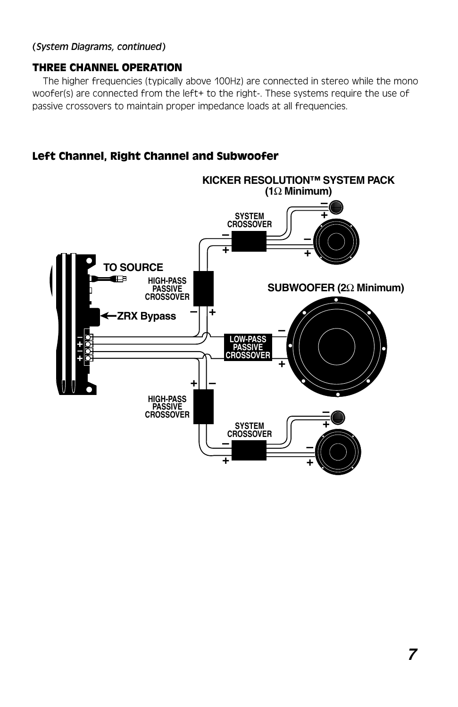#### *(System Diagrams, continued)*

#### **THREE CHANNEL OPERATION**

The higher frequencies (typically above 100Hz) are connected in stereo while the mono woofer(s) are connected from the left+ to the right-. These systems require the use of passive crossovers to maintain proper impedance loads at all frequencies.

#### **Left Channel, Right Channel and Subwoofer**

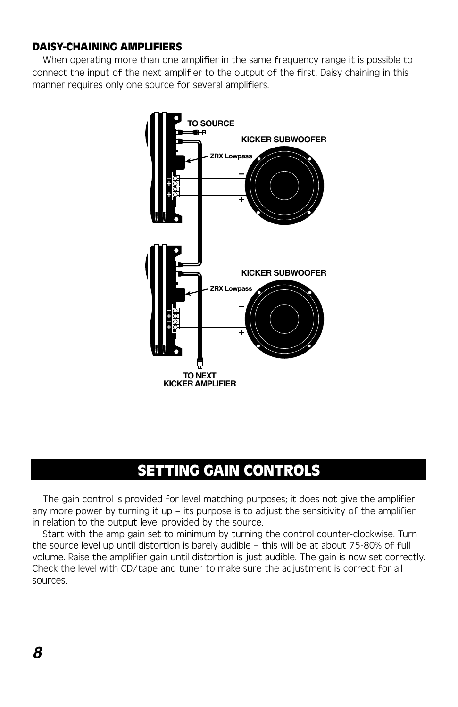#### **DAISY-CHAINING AMPLIFIERS**

When operating more than one amplifier in the same frequency range it is possible to connect the input of the next amplifier to the output of the first. Daisy chaining in this manner requires only one source for several amplifiers.



# **SETTING GAIN CONTROLS**

The gain control is provided for level matching purposes; it does not give the amplifier any more power by turning it up  $-$  its purpose is to adjust the sensitivity of the amplifier in relation to the output level provided by the source.

Start with the amp gain set to minimum by turning the control counter-clockwise. Turn the source level up until distortion is barely audible – this will be at about 75-80% of full volume. Raise the amplifier gain until distortion is just audible. The gain is now set correctly. Check the level with CD/tape and tuner to make sure the adjustment is correct for all sources.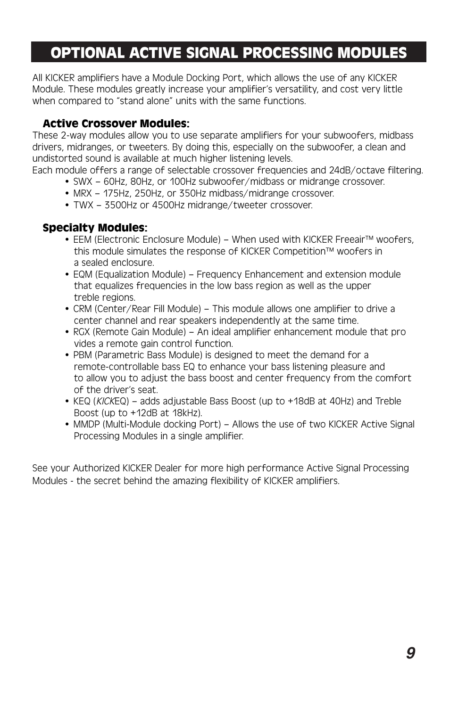# **OPTIONAL ACTIVE SIGNAL PROCESSING MODULES**

All KICKER amplifiers have a Module Docking Port, which allows the use of any KICKER Module. These modules greatly increase your amplifier's versatility, and cost very little when compared to "stand alone" units with the same functions.

#### **Active Crossover Modules:**

These 2-way modules allow you to use separate amplifiers for your subwoofers, midbass drivers, midranges, or tweeters. By doing this, especially on the subwoofer, a clean and undistorted sound is available at much higher listening levels.

Each module offers a range of selectable crossover frequencies and 24dB/octave filtering.

- SWX 60Hz, 80Hz, or 100Hz subwoofer/midbass or midrange crossover.
- MRX 175Hz, 250Hz, or 350Hz midbass/midrange crossover.
- TWX 3500Hz or 4500Hz midrange/tweeter crossover.

#### **Specialty Modules:**

- EEM (Electronic Enclosure Module) When used with KICKER Freeair™ woofers, this module simulates the response of KICKER Competition™ woofers in a sealed enclosure.
- EQM (Equalization Module) Frequency Enhancement and extension module that equalizes frequencies in the low bass region as well as the upper treble regions.
- CRM (Center/Rear Fill Module) This module allows one amplifier to drive a center channel and rear speakers independently at the same time.
- RGX (Remote Gain Module) An ideal amplifier enhancement module that pro vides a remote gain control function.
- PBM (Parametric Bass Module) is designed to meet the demand for a remote-controllable bass EQ to enhance your bass listening pleasure and to allow you to adjust the bass boost and center frequency from the comfort of the driver's seat.
- KEQ (KICKEQ) adds adjustable Bass Boost (up to +18dB at 40Hz) and Treble Boost (up to +12dB at 18kHz).
- MMDP (Multi-Module docking Port) Allows the use of two KICKER Active Signal Processing Modules in a single amplifier.

See your Authorized KICKER Dealer for more high performance Active Signal Processing Modules - the secret behind the amazing flexibility of KICKER amplifiers.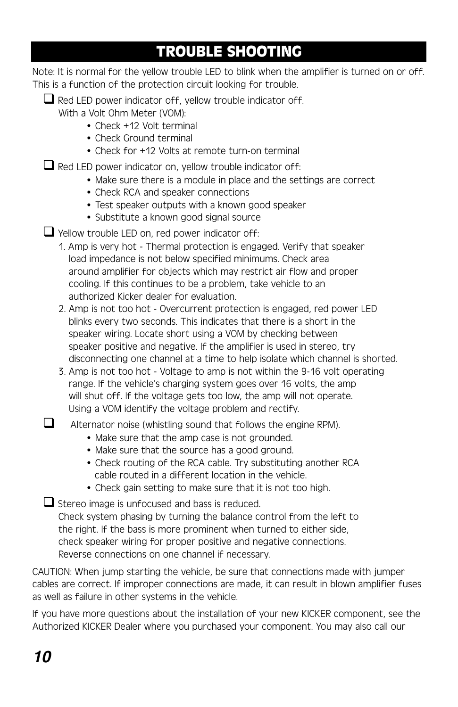# **TROUBLE SHOOTING**

Note: It is normal for the yellow trouble LED to blink when the amplifier is turned on or off. This is a function of the protection circuit looking for trouble.

 $\Box$  Red LED power indicator off, yellow trouble indicator off.

With a Volt Ohm Meter (VOM):

- Check +12 Volt terminal
- Check Ground terminal
- Check for +12 Volts at remote turn-on terminal

 $\Box$  Red LED power indicator on, yellow trouble indicator off:

- Make sure there is a module in place and the settings are correct
- Check RCA and speaker connections
- Test speaker outputs with a known good speaker
- Substitute a known good signal source

 $\Box$  Yellow trouble LED on, red power indicator off:

- 1. Amp is very hot Thermal protection is engaged. Verify that speaker load impedance is not below specified minimums. Check area around amplifier for objects which may restrict air flow and proper cooling. If this continues to be a problem, take vehicle to an authorized Kicker dealer for evaluation.
- 2. Amp is not too hot Overcurrent protection is engaged, red power LED blinks every two seconds. This indicates that there is a short in the speaker wiring. Locate short using a VOM by checking between speaker positive and negative. If the amplifier is used in stereo, try disconnecting one channel at a time to help isolate which channel is shorted.
- 3. Amp is not too hot Voltage to amp is not within the 9-16 volt operating range. If the vehicle's charging system goes over 16 volts, the amp will shut off. If the voltage gets too low, the amp will not operate. Using a VOM identify the voltage problem and rectify.

 $\Box$  Alternator noise (whistling sound that follows the engine RPM).

- Make sure that the amp case is not grounded.
- Make sure that the source has a good ground.
- Check routing of the RCA cable. Try substituting another RCA cable routed in a different location in the vehicle.
- Check gain setting to make sure that it is not too high.

 $\Box$  Stereo image is unfocused and bass is reduced. Check system phasing by turning the balance control from the left to the right. If the bass is more prominent when turned to either side, check speaker wiring for proper positive and negative connections. Reverse connections on one channel if necessary.

CAUTION: When jump starting the vehicle, be sure that connections made with jumper cables are correct. If improper connections are made, it can result in blown amplifier fuses as well as failure in other systems in the vehicle.

If you have more questions about the installation of your new KICKER component, see the Authorized KICKER Dealer where you purchased your component. You may also call our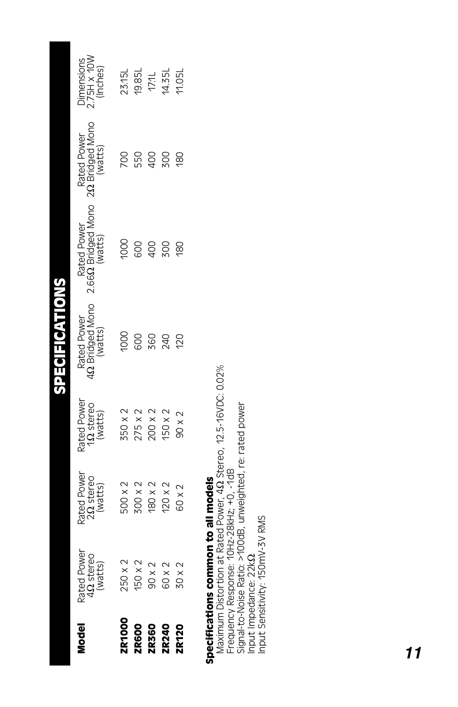| Rated Power<br>4Ω stereo<br>(watts) | Rated Power<br>222 stereo |                                      |                        |                                                                               |                        |                                       |
|-------------------------------------|---------------------------|--------------------------------------|------------------------|-------------------------------------------------------------------------------|------------------------|---------------------------------------|
|                                     | (watts)                   | Rated Power<br>122 stereo<br>(watts) | Rated Power<br>(watts) | 42 Bridged Mono 2.662 Bridged Mono 222 Bridged Mono<br>Rated Power<br>(watts) | Rated Power<br>(watts) | Dimensions<br>2.75H x 10W<br>(Inches) |
|                                     |                           |                                      |                        |                                                                               |                        |                                       |
| 250 x 2                             | 500 x 2                   | 350 x 2                              | 000                    | 1000                                                                          | <b>DO</b>              | 23.15L                                |
| 150 x 2                             | 300 x 2                   | 275x2                                | 800                    | 800                                                                           | 550                    | 19.85L                                |
| 90 x 2                              | 180 x 2                   | 200 x 2                              | <b>360</b>             | <b>QD</b>                                                                     | 400                    | 17.1L                                 |
| 60 x 2                              | $120 \times 2$            | 150 x 2                              | 240                    | 500                                                                           | <b>200</b>             | 14.35L                                |
| 30 x 2                              | 60 x 2                    | $90 \times 2$                        | 120                    | 180                                                                           | 180                    | 1.05                                  |
|                                     |                           |                                      |                        |                                                                               |                        |                                       |
| becifications common to all models  |                           |                                      |                        |                                                                               |                        |                                       |

# **Specifications common to all models** š

Maximum Distortion at Rated Power, 4Ω Stereo, 12.5-16VDC: 0.02%<br>Frequency Response: 10Hz-28kHz; +0, -1dB<br>Signal-to-Noise Ratio: >100dB, unweighted, re: rated power<br>Input Sensitivity: 150mV-3V RMS Maximum Distortion at Rated Power, 4Ω Stereo, 12.5-16VDC: 0.02% Signal-to-Noise Ratio: >100dB, unweighted, re: rated power Frequency Response: 10Hz-28kHz; +0, -1dB Input Sensitivity: 150mV-3V RMSInput Impedance: 22kΩ